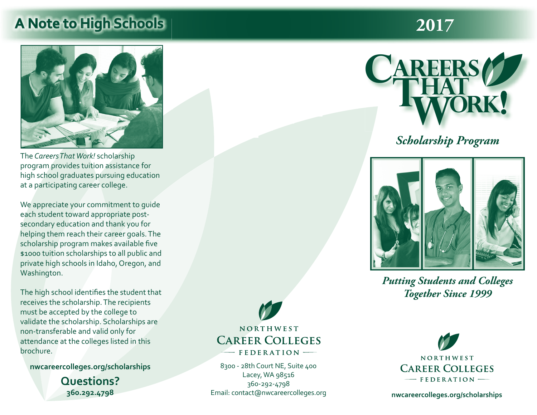## **A Note to High Schools 2017**



The *Careers That Work!* scholarship program provides tuition assistance for high school graduates pursuing education at a participating career college.

We appreciate your commitment to guide each student toward appropriate postsecondary education and thank you for helping them reach their career goals. The scholarship program makes available five \$1000 tuition scholarships to all public and private high schools in Idaho, Oregon, and Washington.

The high school identifies the student that receives the scholarship. The recipients must be accepted by the college to validate the scholarship. Scholarships are non-transferable and valid only for attendance at the colleges listed in this brochure.

**nwcareercolleges.org/scholarships**

**Questions? 360.292.4798**

NORTHWEST **CAREER COLLEGES** FEDERATION -

8300 - 28th Court NE, Suite 400 Lacey, WA 98516 360-292-4798 Email: contact@nwcareercolleges.org



### *Scholarship Program*



*Putting Students and Colleges Together Since 1999*



**nwcareercolleges.org/scholarships**